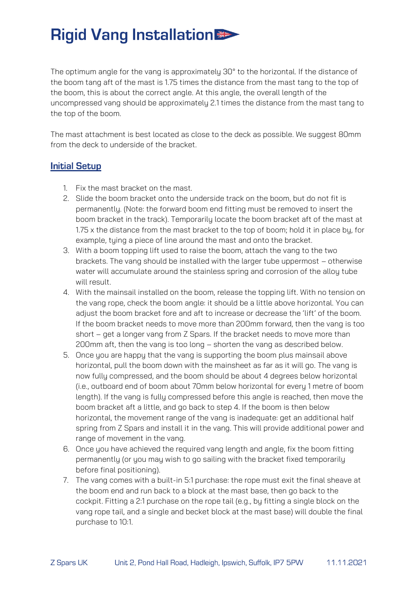## **Rigid Vang Installation >>>>>>>>>>>>>>>**

The optimum angle for the vang is approximately 30° to the horizontal. If the distance of the boom tang aft of the mast is 1.75 times the distance from the mast tang to the top of the boom, this is about the correct angle. At this angle, the overall length of the uncompressed vang should be approximately 2.1 times the distance from the mast tang to the top of the boom.

The mast attachment is best located as close to the deck as possible. We suggest 80mm from the deck to underside of the bracket.

#### **Initial Setup**

- 1. Fix the mast bracket on the mast.
- 2. Slide the boom bracket onto the underside track on the boom, but do not fit is permanently. (Note: the forward boom end fitting must be removed to insert the boom bracket in the track). Temporarily locate the boom bracket aft of the mast at 1.75 x the distance from the mast bracket to the top of boom; hold it in place by, for example, tying a piece of line around the mast and onto the bracket.
- 3. With a boom topping lift used to raise the boom, attach the vang to the two brackets. The vang should be installed with the larger tube uppermost – otherwise water will accumulate around the stainless spring and corrosion of the alloy tube will result.
- 4. With the mainsail installed on the boom, release the topping lift. With no tension on the vang rope, check the boom angle: it should be a little above horizontal. You can adjust the boom bracket fore and aft to increase or decrease the 'lift' of the boom. If the boom bracket needs to move more than 200mm forward, then the vang is too short – get a longer vang from Z Spars. If the bracket needs to move more than 200mm aft, then the vang is too long – shorten the vang as described below.
- 5. Once you are happy that the vang is supporting the boom plus mainsail above horizontal, pull the boom down with the mainsheet as far as it will go. The vang is now fully compressed, and the boom should be about 4 degrees below horizontal (i.e., outboard end of boom about 70mm below horizontal for every 1 metre of boom length). If the vang is fully compressed before this angle is reached, then move the boom bracket aft a little, and go back to step 4. If the boom is then below horizontal, the movement range of the vang is inadequate: get an additional half spring from Z Spars and install it in the vang. This will provide additional power and range of movement in the vang.
- 6. Once you have achieved the required vang length and angle, fix the boom fitting permanently (or you may wish to go sailing with the bracket fixed temporarily before final positioning).
- 7. The vang comes with a built-in 5:1 purchase: the rope must exit the final sheave at the boom end and run back to a block at the mast base, then go back to the cockpit. Fitting a 2:1 purchase on the rope tail (e.g., by fitting a single block on the vang rope tail, and a single and becket block at the mast base) will double the final purchase to 10:1.